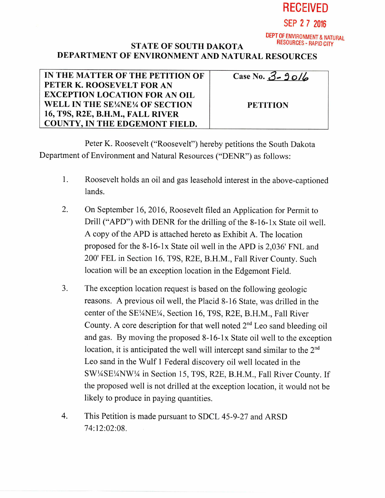

## **DEPT** OF ENVIRONMENT & NATURAL STATE OF SOUTH DAKOTA DEPARTMENT OF ENVIRONMENT AND NATURAL RESOURCES

IN THE MATTER OF THE PETITION OF PETER K. ROOSEVELT FOR AN EXCEPTION LOCATION FOR AN OIL WELL IN THE SE¼NE¼ OF SECTION 16, T9S, R2E, B.H.M., FALL RIVER COUNTY, IN THE EDGEMONT FIELD.

| Case No. $3 - 90/6$ |  |
|---------------------|--|
|                     |  |

**PETITION** 

Peter K. Roosevelt ("Roosevelt") hereby petitions the South Dakota Department of Environment and Natural Resources ("DENR") as follows:

- 1. Roosevelt holds an oil and gas leasehold interest in the above-captioned lands.
- 2. On September 16, 2016, Roosevelt filed an Application for Permit to Drill ("APD") with DENR for the drilling of the 8-16-1x State oil well. A copy of the APD is attached hereto as Exhibit A. The location proposed for the 8-16-1x State oil well in the APD is 2,036' FNL and 200' FEL in Section 16, T9S, R2E, B.H.M., Fall River County. Such location will be an exception location in the Edgemont Field.
- 3. The exception location request is based on the following geologic reasons. A previous oil well, the Placid 8-16 State, was drilled in the center of the SE¼NE¼, Section 16, T9S, R2E, B.H.M., Fall River County. A core description for that well noted  $2<sup>nd</sup>$  Leo sand bleeding oil and gas. By moving the proposed 8-16-1x State oil well to the exception location, it is anticipated the well will intercept sand similar to the 2<sup>nd</sup> Leo sand in the Wulf 1 Federal discovery oil well located in the SW1/4SE1/4NW1/4 in Section 15, T9S, R2E, B.H.M., Fall River County. If the proposed well is not drilled at the exception location, it would not be likely to produce in paying quantities.
- 4. This Petition is made pursuant to SDCL 45-9-27 and ARSD 74:12:02:08.